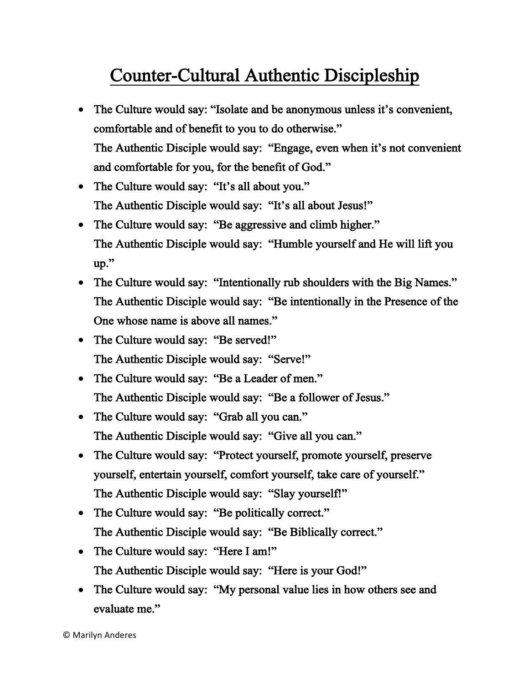## Counter-Cultural Authentic Discipleship

- The Culture would say: "Isolate and be anonymous unless it's convenient, comfortable and of benefit to you to do otherwise." The Authentic Disciple would say: "Engage, even when it's not convenient and comfortable for you, for the benefit of God."
- The Culture would say: "It's all about you." The Authentic Disciple would say: "It's all about Jesus!"
- The Culture would say: "Be aggressive and climb higher." The Authentic Disciple would say: "Humble yourself and He will lift you up."
- The Culture would say: "Intentionally rub shoulders with the Big Names." The Authentic Disciple would say: "Be intentionally in the Presence of the One whose name is above all names."
- The Culture would say: "Be served!" The Authentic Disciple would say: "Serve!"
- The Culture would say: "Be a Leader of men." The Authentic Disciple would say: "Be a follower of Jesus."
- The Culture would say: "Grab all you can." The Authentic Disciple would say: "Give all you can."
- The Culture would say: "Protect yourself, promote yourself, preserve yourself, entertain yourself, comfort yourself, take care of yourself." The Authentic Disciple would say: "Slay yourself!"
- The Culture would say: "Be politically correct." The Authentic Disciple would say: "Be Biblically correct."
- The Culture would say: "Here I am!" The Authentic Disciple would say: "Here is your God!"
- The Culture would say: "My personal value lies in how others see and evaluate me."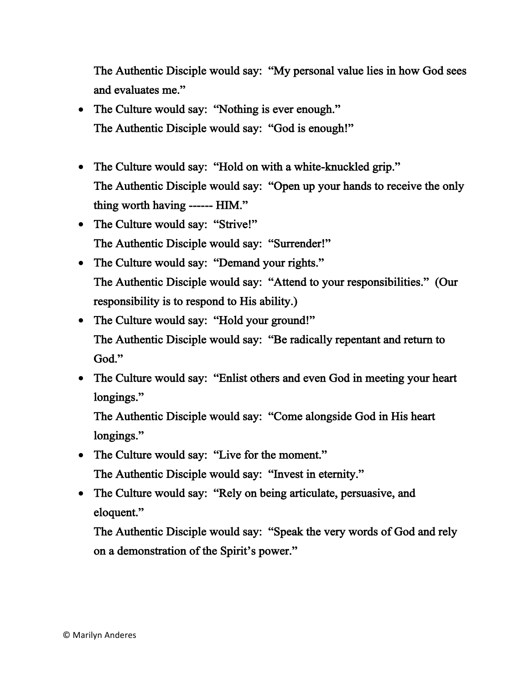The Authentic Disciple would say: "My personal value lies in how God sees and evaluates me."

- The Culture would say: "Nothing is ever enough." The Authentic Disciple would say: "God is enough!"
- The Culture would say: "Hold on with a white-knuckled grip." The Authentic Disciple would say: "Open up your hands to receive the only thing worth having ------ HIM."
- The Culture would say: "Strive!" The Authentic Disciple would say: "Surrender!"
- The Culture would say: "Demand your rights." The Authentic Disciple would say: "Attend to your responsibilities." (Our responsibility is to respond to His ability.)
- The Culture would say: "Hold your ground!" The Authentic Disciple would say: "Be radically repentant and return to God."
- The Culture would say: "Enlist others and even God in meeting your heart longings."

The Authentic Disciple would say: "Come alongside God in His heart longings."

- The Culture would say: "Live for the moment." The Authentic Disciple would say: "Invest in eternity."
- The Culture would say: "Rely on being articulate, persuasive, and eloquent."

The Authentic Disciple would say: "Speak the very words of God and rely on a demonstration of the Spirit's power."